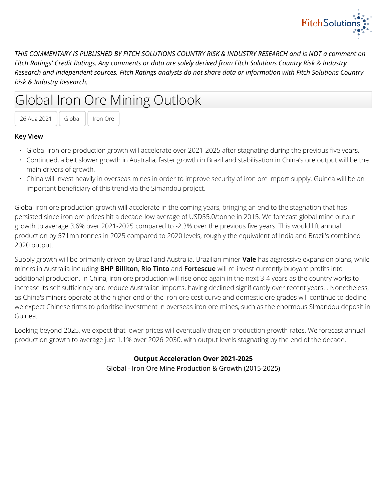

*THIS COMMENTARY IS PUBLISHED BY FITCH SOLUTIONS COUNTRY RISK & INDUSTRY RESEARCH and is NOT a comment on Fitch Ratings' Credit Ratings. Any comments or data are solely derived from Fitch Solutions Country Risk & Industry Research and independent sources. Fitch Ratings analysts do not share data or information with Fitch Solutions Country Risk & Industry Research.*

# Global Iron Ore Mining Outlook

26 Aug 2021 | Global | Iron Ore

## **Key View**

- Global iron ore production growth will accelerate over 2021-2025 after stagnating during the previous five years.
- Continued, albeit slower growth in Australia, faster growth in Brazil and stabilisation in China's ore output will be the main drivers of growth.
- China will invest heavily in overseas mines in order to improve security of iron ore import supply. Guinea will be an important beneficiary of this trend via the Simandou project.

Global iron ore production growth will accelerate in the coming years, bringing an end to the stagnation that has persisted since iron ore prices hit a decade-low average of USD55.0/tonne in 2015. We forecast global mine output growth to average 3.6% over 2021-2025 compared to -2.3% over the previous five years. This would lift annual production by 571mn tonnes in 2025 compared to 2020 levels, roughly the equivalent of India and Brazil's combined 2020 output.

Supply growth will be primarily driven by Brazil and Australia. Brazilian miner **Vale** has aggressive expansion plans, while miners in Australia including **BHP Billiton**, **Rio Tinto** and **Fortescue** will re-invest currently buoyant profits into additional production. In China, iron ore production will rise once again in the next 3-4 years as the country works to increase its self sufficiency and reduce Australian imports, having declined significantly over recent years. . Nonetheless, as China's miners operate at the higher end of the iron ore cost curve and domestic ore grades will continue to decline, we expect Chinese firms to prioritise investment in overseas iron ore mines, such as the enormous SImandou deposit in Guinea.

Looking beyond 2025, we expect that lower prices will eventually drag on production growth rates. We forecast annual production growth to average just 1.1% over 2026-2030, with output levels stagnating by the end of the decade.

# **Output Acceleration Over 2021-2025**

Global - Iron Ore Mine Production & Growth (2015-2025)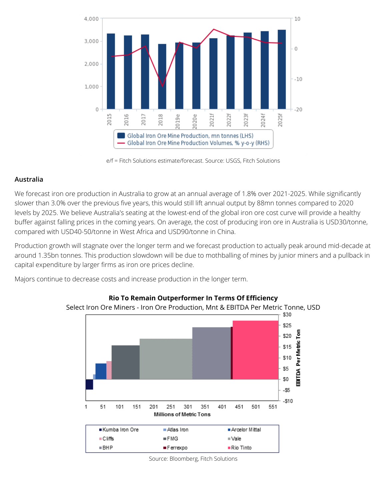

e/f = Fitch Solutions estimate/forecast. Source: USGS, Fitch Solutions

## **Australia**

We forecast iron ore production in Australia to grow at an annual average of 1.8% over 2021-2025. While significantly slower than 3.0% over the previous five years, this would still lift annual output by 88mn tonnes compared to 2020 levels by 2025. We believe Australia's seating at the lowest-end of the global iron ore cost curve will provide a healthy buffer against falling prices in the coming years. On average, the cost of producing iron ore in Australia is USD30/tonne, compared with USD40-50/tonne in West Africa and USD90/tonne in China.

Production growth will stagnate over the longer term and we forecast production to actually peak around mid-decade at around 1.35bn tonnes. This production slowdown will be due to mothballing of mines by junior miners and a pullback in capital expenditure by larger firms as iron ore prices decline.

Majors continue to decrease costs and increase production in the longer term.



#### **Rio To Remain Outperformer In Terms Of Efficiency**

Select Iron Ore Miners - Iron Ore Production, Mnt & EBITDA Per Metric Tonne, USD

Source: Bloomberg, Fitch Solutions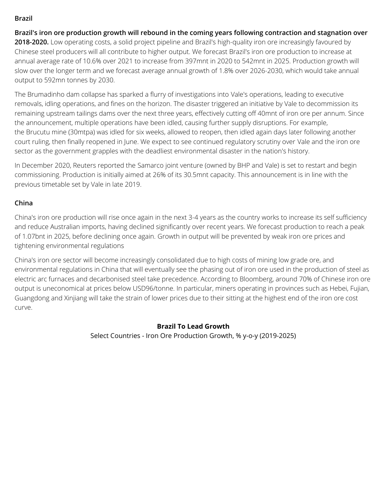## **Brazil**

**Brazil's iron ore production growth will rebound in the coming years following contraction and stagnation over** 2018-2020. Low operating costs, a solid project pipeline and Brazil's high-quality iron ore increasingly favoured by Chinese steel producers will all contribute to higher output. We forecast Brazil's iron ore production to increase at annual average rate of 10.6% over 2021 to increase from 397mnt in 2020 to 542mnt in 2025. Production growth will slow over the longer term and we forecast average annual growth of 1.8% over 2026-2030, which would take annual output to 592mn tonnes by 2030.

The Brumadinho dam collapse has sparked a flurry of investigations into Vale's operations, leading to executive removals, idling operations, and fines on the horizon. The disaster triggered an initiative by Vale to decommission its remaining upstream tailings dams over the next three years, effectively cutting off 40mnt of iron ore per annum. Since the announcement, multiple operations have been idled, causing further supply disruptions. For example, the Brucutu mine (30mtpa) was idled for six weeks, allowed to reopen, then idled again days later following another court ruling, then finally reopened in June. We expect to see continued regulatory scrutiny over Vale and the iron ore sector as the government grapples with the deadliest environmental disaster in the nation's history.

In December 2020, Reuters reported the Samarco joint venture (owned by BHP and Vale) is set to restart and begin commissioning. Production is initially aimed at 26% of its 30.5mnt capacity. This announcement is in line with the previous timetable set by Vale in late 2019.

# **China**

China's iron ore production will rise once again in the next 3-4 years as the country works to increase its self sufficiency and reduce Australian imports, having declined significantly over recent years. We forecast production to reach a peak of 1.07bnt in 2025, before declining once again. Growth in output will be prevented by weak iron ore prices and tightening environmental regulations

China's iron ore sector will become increasingly consolidated due to high costs of mining low grade ore, and environmental regulations in China that will eventually see the phasing out of iron ore used in the production of steel as electric arc furnaces and decarbonised steel take precedence. According to Bloomberg, around 70% of Chinese iron ore output is uneconomical at prices below USD96/tonne. In particular, miners operating in provinces such as Hebei, Fujian, Guangdong and Xinjiang will take the strain of lower prices due to their sitting at the highest end of the iron ore cost curve.

# **Brazil To Lead Growth**

Select Countries - Iron Ore Production Growth, % y-o-y (2019-2025)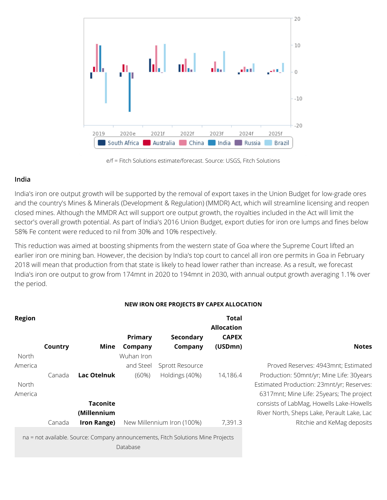

e/f = Fitch Solutions estimate/forecast. Source: USGS, Fitch Solutions

#### **India**

India's iron ore output growth will be supported by the removal of export taxes in the Union Budget for low-grade ores and the country's Mines & Minerals (Development & Regulation) (MMDR) Act, which will streamline licensing and reopen closed mines. Although the MMDR Act will support ore output growth, the royalties included in the Act will limit the sector's overall growth potential. As part of India's 2016 Union Budget, export duties for iron ore lumps and fines below 58% Fe content were reduced to nil from 30% and 10% respectively.

This reduction was aimed at boosting shipments from the western state of Goa where the Supreme Court lifted an earlier iron ore mining ban. However, the decision by India's top court to cancel all iron ore permits in Goa in February 2018 will mean that production from that state is likely to head lower rather than increase. As a result, we forecast India's iron ore output to grow from 174mnt in 2020 to 194mnt in 2030, with annual output growth averaging 1.1% over the period.

#### **NEW IRON ORE PROJECTS BY CAPEX ALLOCATION**

| <b>Region</b> |         |                 |            |                                                                                  | Total             |                                            |
|---------------|---------|-----------------|------------|----------------------------------------------------------------------------------|-------------------|--------------------------------------------|
|               |         |                 |            |                                                                                  | <b>Allocation</b> |                                            |
|               |         |                 | Primary    | Secondary                                                                        | <b>CAPEX</b>      |                                            |
|               | Country | Mine            | Company    | Company                                                                          | (USDmn)           | <b>Notes</b>                               |
| North         |         |                 | Wuhan Iron |                                                                                  |                   |                                            |
| America       |         |                 | and Steel  | Sprott Resource                                                                  |                   | Proved Reserves: 4943mnt; Estimated        |
|               | Canada  | Lac Otelnuk     | $(60\%)$   | Holdings (40%)                                                                   | 14,186.4          | Production: 50mnt/yr; Mine Life: 30years   |
| North         |         |                 |            |                                                                                  |                   | Estimated Production: 23mnt/yr; Reserves:  |
| America       |         |                 |            |                                                                                  |                   | 6317mnt; Mine Life: 25years; The project   |
|               |         | <b>Taconite</b> |            |                                                                                  |                   | consists of LabMag, Howells Lake-Howells   |
|               |         | (Millennium     |            |                                                                                  |                   | River North, Sheps Lake, Perault Lake, Lac |
|               | Canada  | Iron Range)     |            | New Millennium Iron (100%)                                                       | 7,391.3           | Ritchie and KeMag deposits                 |
|               |         |                 | Database   | na = not available. Source: Company announcements, Fitch Solutions Mine Projects |                   |                                            |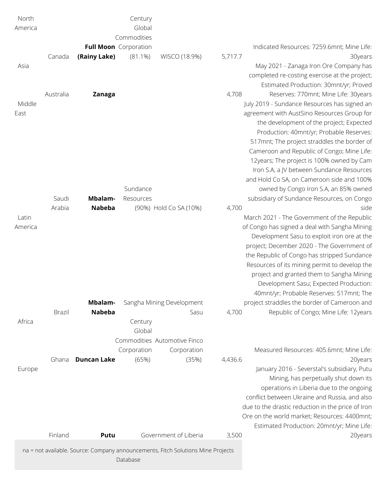| North   |               |                              | Century               |                                                                                  |         |                                                                                       |
|---------|---------------|------------------------------|-----------------------|----------------------------------------------------------------------------------|---------|---------------------------------------------------------------------------------------|
| America |               |                              | Global<br>Commodities |                                                                                  |         |                                                                                       |
|         |               | <b>Full Moon</b> Corporation |                       |                                                                                  |         | Indicated Resources: 7259.6mnt; Mine Life:                                            |
|         | Canada        | (Rainy Lake)                 | $(81.1\%)$            | WISCO (18.9%)                                                                    | 5,717.7 | 30years                                                                               |
| Asia    |               |                              |                       |                                                                                  |         | May 2021 - Zanaga Iron Ore Company has                                                |
|         |               |                              |                       |                                                                                  |         | completed re-costing exercise at the project;                                         |
|         |               |                              |                       |                                                                                  |         | Estimated Production: 30mnt/yr; Proved                                                |
|         | Australia     | <b>Zanaga</b>                |                       |                                                                                  | 4,708   | Reserves: 770mnt; Mine Life: 30years                                                  |
| Middle  |               |                              |                       |                                                                                  |         | July 2019 - Sundance Resources has signed an                                          |
| East    |               |                              |                       |                                                                                  |         | agreement with AustSino Resources Group for                                           |
|         |               |                              |                       |                                                                                  |         | the development of the project; Expected                                              |
|         |               |                              |                       |                                                                                  |         | Production: 40mnt/yr; Probable Reserves:                                              |
|         |               |                              |                       |                                                                                  |         | 517mnt; The project straddles the border of                                           |
|         |               |                              |                       |                                                                                  |         | Cameroon and Republic of Congo; Mine Life:                                            |
|         |               |                              |                       |                                                                                  |         | 12years; The project is 100% owned by Cam                                             |
|         |               |                              |                       |                                                                                  |         | Iron S.A, a JV between Sundance Resources                                             |
|         |               |                              |                       |                                                                                  |         | and Hold Co SA, on Cameroon side and 100%                                             |
|         |               |                              | Sundance              |                                                                                  |         | owned by Congo Iron S.A, an 85% owned                                                 |
|         | Saudi         | Mbalam-                      | Resources             |                                                                                  |         | subsidiary of Sundance Resources, on Congo                                            |
|         | Arabia        | <b>Nabeba</b>                |                       | (90%) Hold Co SA (10%)                                                           | 4,700   | side                                                                                  |
| Latin   |               |                              |                       |                                                                                  |         | March 2021 - The Government of the Republic                                           |
| America |               |                              |                       |                                                                                  |         | of Congo has signed a deal with Sangha Mining                                         |
|         |               |                              |                       |                                                                                  |         | Development Sasu to exploit iron ore at the                                           |
|         |               |                              |                       |                                                                                  |         | project; December 2020 - The Government of                                            |
|         |               |                              |                       |                                                                                  |         | the Republic of Congo has stripped Sundance                                           |
|         |               |                              |                       |                                                                                  |         | Resources of its mining permit to develop the                                         |
|         |               |                              |                       |                                                                                  |         | project and granted them to Sangha Mining                                             |
|         |               |                              |                       |                                                                                  |         | Development Sasu; Expected Production:                                                |
|         |               |                              |                       |                                                                                  |         | 40mnt/yr; Probable Reserves: 517mnt; The                                              |
|         | <b>Brazil</b> | Mbalam-<br><b>Nabeba</b>     |                       | Sangha Mining Development<br>Sasu                                                | 4,700   | project straddles the border of Cameroon and<br>Republic of Congo; Mine Life: 12years |
| Africa  |               |                              | Century               |                                                                                  |         |                                                                                       |
|         |               |                              | Global                |                                                                                  |         |                                                                                       |
|         |               |                              |                       | Commodities Automotive Finco                                                     |         |                                                                                       |
|         |               |                              | Corporation           | Corporation                                                                      |         | Measured Resources: 405.6mnt; Mine Life:                                              |
|         | Ghana         | <b>Duncan Lake</b>           | (65%)                 | (35%)                                                                            | 4,436.6 | 20years                                                                               |
| Europe  |               |                              |                       |                                                                                  |         | January 2016 - Severstal's subsidiary, Putu                                           |
|         |               |                              |                       |                                                                                  |         | Mining, has perpetually shut down its                                                 |
|         |               |                              |                       |                                                                                  |         | operations in Liberia due to the ongoing                                              |
|         |               |                              |                       |                                                                                  |         | conflict between Ukraine and Russia, and also                                         |
|         |               |                              |                       |                                                                                  |         | due to the drastic reduction in the price of Iron                                     |
|         |               |                              |                       |                                                                                  |         | Ore on the world market; Resources: 4400mnt;                                          |
|         |               |                              |                       |                                                                                  |         | Estimated Production: 20mnt/yr; Mine Life:                                            |
|         | Finland       | Putu                         |                       | Government of Liberia                                                            | 3,500   | 20years                                                                               |
|         |               |                              |                       | na = not available. Source: Company announcements, Fitch Solutions Mine Projects |         |                                                                                       |
|         |               |                              | Database              |                                                                                  |         |                                                                                       |
|         |               |                              |                       |                                                                                  |         |                                                                                       |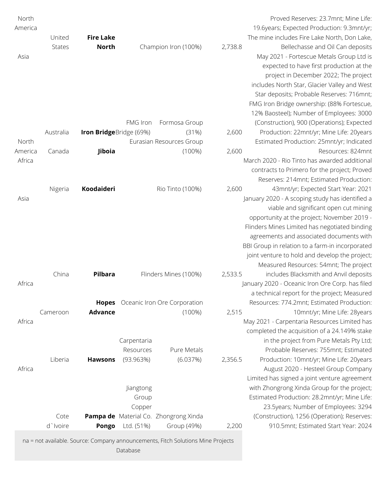| North   |               |                         |                 |                                                                                  |         | Proved Reserves: 23.7mnt; Mine Life:            |
|---------|---------------|-------------------------|-----------------|----------------------------------------------------------------------------------|---------|-------------------------------------------------|
| America |               |                         |                 |                                                                                  |         | 19.6years; Expected Production: 9.3mnt/yr;      |
|         | United        | <b>Fire Lake</b>        |                 |                                                                                  |         | The mine includes Fire Lake North, Don Lake,    |
|         | <b>States</b> | <b>North</b>            |                 | Champion Iron (100%)                                                             | 2,738.8 | Bellechasse and Oil Can deposits                |
| Asia    |               |                         |                 |                                                                                  |         | May 2021 - Fortescue Metals Group Ltd is        |
|         |               |                         |                 |                                                                                  |         | expected to have first production at the        |
|         |               |                         |                 |                                                                                  |         | project in December 2022; The project           |
|         |               |                         |                 |                                                                                  |         | includes North Star, Glacier Valley and West    |
|         |               |                         |                 |                                                                                  |         | Star deposits; Probable Reserves: 716mnt;       |
|         |               |                         |                 |                                                                                  |         | FMG Iron Bridge ownership: (88% Fortescue,      |
|         |               |                         |                 |                                                                                  |         | 12% Baosteel); Number of Employees: 3000        |
|         |               |                         | <b>FMG Iron</b> | Formosa Group                                                                    |         | (Construction), 900 (Operations); Expected      |
|         | Australia     | Iron BridgeBridge (69%) |                 | (31%)                                                                            | 2,600   | Production: 22mnt/yr; Mine Life: 20years        |
| North   |               |                         |                 | Eurasian Resources Group                                                         |         | Estimated Production: 25mnt/yr; Indicated       |
| America | Canada        | Jiboia                  |                 | $(100\%)$                                                                        | 2,600   | Resources: 824mnt                               |
| Africa  |               |                         |                 |                                                                                  |         | March 2020 - Rio Tinto has awarded additional   |
|         |               |                         |                 |                                                                                  |         | contracts to Primero for the project; Proved    |
|         |               |                         |                 |                                                                                  |         | Reserves: 214mnt; Estimated Production:         |
|         |               | Koodaideri              |                 | Rio Tinto (100%)                                                                 | 2,600   |                                                 |
|         | Nigeria       |                         |                 |                                                                                  |         | 43mnt/yr; Expected Start Year: 2021             |
| Asia    |               |                         |                 |                                                                                  |         | January 2020 - A scoping study has identified a |
|         |               |                         |                 |                                                                                  |         | viable and significant open cut mining          |
|         |               |                         |                 |                                                                                  |         | opportunity at the project; November 2019 -     |
|         |               |                         |                 |                                                                                  |         | Flinders Mines Limited has negotiated binding   |
|         |               |                         |                 |                                                                                  |         | agreements and associated documents with        |
|         |               |                         |                 |                                                                                  |         | BBI Group in relation to a farm-in incorporated |
|         |               |                         |                 |                                                                                  |         | joint venture to hold and develop the project;  |
|         |               |                         |                 |                                                                                  |         | Measured Resources: 54mnt; The project          |
|         | China         | Pilbara                 |                 | Flinders Mines (100%)                                                            | 2,533.5 | includes Blacksmith and Anvil deposits          |
| Africa  |               |                         |                 |                                                                                  |         | January 2020 - Oceanic Iron Ore Corp. has filed |
|         |               |                         |                 |                                                                                  |         | a technical report for the project; Measured    |
|         |               | <b>Hopes</b>            |                 | Oceanic Iron Ore Corporation                                                     |         | Resources: 774.2mnt; Estimated Production:      |
|         | Cameroon      | <b>Advance</b>          |                 | $(100\%)$                                                                        | 2,515   | 10mnt/yr; Mine Life: 28years                    |
| Africa  |               |                         |                 |                                                                                  |         | May 2021 - Carpentaria Resources Limited has    |
|         |               |                         |                 |                                                                                  |         | completed the acquisition of a 24.149% stake    |
|         |               |                         | Carpentaria     |                                                                                  |         | in the project from Pure Metals Pty Ltd;        |
|         |               |                         | Resources       | Pure Metals                                                                      |         | Probable Reserves: 755mnt; Estimated            |
|         | Liberia       | <b>Hawsons</b>          | (93.963%)       | (6.037%)                                                                         | 2,356.5 | Production: 10mnt/yr; Mine Life: 20years        |
| Africa  |               |                         |                 |                                                                                  |         | August 2020 - Hesteel Group Company             |
|         |               |                         |                 |                                                                                  |         | Limited has signed a joint venture agreement    |
|         |               |                         | Jiangtong       |                                                                                  |         | with Zhongrong Xinda Group for the project;     |
|         |               |                         | Group           |                                                                                  |         | Estimated Production: 28.2mnt/yr; Mine Life:    |
|         |               |                         | Copper          |                                                                                  |         | 23.5years; Number of Employees: 3294            |
|         | Cote          |                         |                 | Pampa de Material Co. Zhongrong Xinda                                            |         | (Construction), 1256 (Operation); Reserves:     |
|         | d`Ivoire      | <b>Pongo</b>            | Ltd. (51%)      | Group (49%)                                                                      | 2,200   | 910.5mnt; Estimated Start Year: 2024            |
|         |               |                         |                 | na = not available. Source: Company announcements, Fitch Solutions Mine Projects |         |                                                 |
|         |               |                         | Database        |                                                                                  |         |                                                 |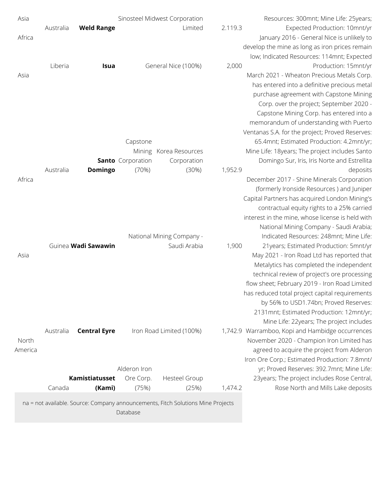| Asia    |                                                                                  |                     |                          | Sinosteel Midwest Corporation |         | Resources: 300mnt; Mine Life: 25years;           |
|---------|----------------------------------------------------------------------------------|---------------------|--------------------------|-------------------------------|---------|--------------------------------------------------|
|         | Australia                                                                        | <b>Weld Range</b>   |                          | Limited                       | 2.119.3 | Expected Production: 10mnt/yr                    |
| Africa  |                                                                                  |                     |                          |                               |         | January 2016 - General Nice is unlikely to       |
|         |                                                                                  |                     |                          |                               |         | develop the mine as long as iron prices remain   |
|         |                                                                                  |                     |                          |                               |         | low; Indicated Resources: 114mnt; Expected       |
|         | Liberia                                                                          | Isua                |                          | General Nice (100%)           | 2,000   | Production: 15mnt/yr                             |
| Asia    |                                                                                  |                     |                          |                               |         | March 2021 - Wheaton Precious Metals Corp.       |
|         |                                                                                  |                     |                          |                               |         | has entered into a definitive precious metal     |
|         |                                                                                  |                     |                          |                               |         | purchase agreement with Capstone Mining          |
|         |                                                                                  |                     |                          |                               |         | Corp. over the project; September 2020 -         |
|         |                                                                                  |                     |                          |                               |         | Capstone Mining Corp. has entered into a         |
|         |                                                                                  |                     |                          |                               |         | memorandum of understanding with Puerto          |
|         |                                                                                  |                     |                          |                               |         | Ventanas S.A. for the project; Proved Reserves:  |
|         |                                                                                  |                     | Capstone                 |                               |         | 65.4mnt; Estimated Production: 4.2mnt/yr;        |
|         |                                                                                  |                     |                          | Mining Korea Resources        |         | Mine Life: 18years; The project includes Santo   |
|         |                                                                                  |                     | <b>Santo</b> Corporation | Corporation                   |         | Domingo Sur, Iris, Iris Norte and Estrellita     |
|         | Australia                                                                        | Domingo             | (70%)                    | (30%)                         | 1,952.9 | deposits                                         |
| Africa  |                                                                                  |                     |                          |                               |         | December 2017 - Shine Minerals Corporation       |
|         |                                                                                  |                     |                          |                               |         | (formerly Ironside Resources) and Juniper        |
|         |                                                                                  |                     |                          |                               |         | Capital Partners has acquired London Mining's    |
|         |                                                                                  |                     |                          |                               |         | contractual equity rights to a 25% carried       |
|         |                                                                                  |                     |                          |                               |         | interest in the mine, whose license is held with |
|         |                                                                                  |                     |                          |                               |         | National Mining Company - Saudi Arabia;          |
|         |                                                                                  |                     |                          | National Mining Company -     |         | Indicated Resources: 248mnt; Mine Life:          |
|         | Guinea Wadi Sawawin                                                              |                     |                          | Saudi Arabia                  | 1,900   | 21 years; Estimated Production: 5mnt/yr          |
| Asia    |                                                                                  |                     |                          |                               |         | May 2021 - Iron Road Ltd has reported that       |
|         |                                                                                  |                     |                          |                               |         | Metalytics has completed the independent         |
|         |                                                                                  |                     |                          |                               |         | technical review of project's ore processing     |
|         |                                                                                  |                     |                          |                               |         | flow sheet; February 2019 - Iron Road Limited    |
|         |                                                                                  |                     |                          |                               |         | has reduced total project capital requirements   |
|         |                                                                                  |                     |                          |                               |         | by 56% to USD1.74bn; Proved Reserves:            |
|         |                                                                                  |                     |                          |                               |         | 2131mnt; Estimated Production: 12mnt/yr;         |
|         |                                                                                  |                     |                          |                               |         | Mine Life: 22years; The project includes         |
|         | Australia                                                                        | <b>Central Eyre</b> |                          | Iron Road Limited (100%)      |         | 1,742.9 Warramboo, Kopi and Hambidge occurrences |
| North   |                                                                                  |                     |                          |                               |         | November 2020 - Champion Iron Limited has        |
| America |                                                                                  |                     |                          |                               |         | agreed to acquire the project from Alderon       |
|         |                                                                                  |                     |                          |                               |         | Iron Ore Corp.; Estimated Production: 7.8mnt/    |
|         |                                                                                  |                     | Alderon Iron             |                               |         | yr; Proved Reserves: 392.7mnt; Mine Life:        |
|         |                                                                                  | Kamistiatusset      | Ore Corp.                | <b>Hesteel Group</b>          |         | 23years; The project includes Rose Central,      |
|         | Canada                                                                           | (Kami)              | (75%)                    | (25%)                         | 1,474.2 | Rose North and Mills Lake deposits               |
|         | na = not available. Source: Company announcements, Fitch Solutions Mine Projects |                     | Database                 |                               |         |                                                  |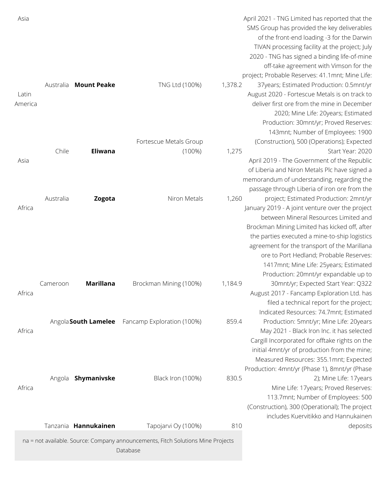| Asia    |           |                      |                                                                                  |         | April 2021 - TNG Limited has reported that the  |
|---------|-----------|----------------------|----------------------------------------------------------------------------------|---------|-------------------------------------------------|
|         |           |                      |                                                                                  |         | SMS Group has provided the key deliverables     |
|         |           |                      |                                                                                  |         | of the front-end loading -3 for the Darwin      |
|         |           |                      |                                                                                  |         | TIVAN processing facility at the project; July  |
|         |           |                      |                                                                                  |         | 2020 - TNG has signed a binding life-of-mine    |
|         |           |                      |                                                                                  |         | off-take agreement with Vimson for the          |
|         |           |                      |                                                                                  |         | project; Probable Reserves: 41.1mnt; Mine Life: |
|         | Australia | <b>Mount Peake</b>   | TNG Ltd (100%)                                                                   | 1,378.2 | 37years; Estimated Production: 0.5mnt/yr        |
| Latin   |           |                      |                                                                                  |         | August 2020 - Fortescue Metals is on track to   |
| America |           |                      |                                                                                  |         | deliver first ore from the mine in December     |
|         |           |                      |                                                                                  |         | 2020; Mine Life: 20years; Estimated             |
|         |           |                      |                                                                                  |         | Production: 30mnt/yr; Proved Reserves:          |
|         |           |                      |                                                                                  |         | 143mnt; Number of Employees: 1900               |
|         |           |                      | Fortescue Metals Group                                                           |         | (Construction), 500 (Operations); Expected      |
|         | Chile     | <b>Eliwana</b>       | $(100\%)$                                                                        | 1,275   | Start Year: 2020                                |
| Asia    |           |                      |                                                                                  |         | April 2019 - The Government of the Republic     |
|         |           |                      |                                                                                  |         | of Liberia and Niron Metals Plc have signed a   |
|         |           |                      |                                                                                  |         | memorandum of understanding, regarding the      |
|         |           |                      |                                                                                  |         |                                                 |
|         |           |                      |                                                                                  |         | passage through Liberia of iron ore from the    |
|         | Australia | Zogota               | Niron Metals                                                                     | 1,260   | project; Estimated Production: 2mnt/yr          |
| Africa  |           |                      |                                                                                  |         | January 2019 - A joint venture over the project |
|         |           |                      |                                                                                  |         | between Mineral Resources Limited and           |
|         |           |                      |                                                                                  |         | Brockman Mining Limited has kicked off, after   |
|         |           |                      |                                                                                  |         | the parties executed a mine-to-ship logistics   |
|         |           |                      |                                                                                  |         | agreement for the transport of the Marillana    |
|         |           |                      |                                                                                  |         | ore to Port Hedland; Probable Reserves:         |
|         |           |                      |                                                                                  |         | 1417mnt; Mine Life: 25years; Estimated          |
|         |           |                      |                                                                                  |         | Production: 20mnt/yr expandable up to           |
|         | Cameroon  | <b>Marillana</b>     | Brockman Mining (100%)                                                           | 1,184.9 | 30mnt/yr; Expected Start Year: Q322             |
| Africa  |           |                      |                                                                                  |         | August 2017 - Fancamp Exploration Ltd. has      |
|         |           |                      |                                                                                  |         | filed a technical report for the project;       |
|         |           |                      |                                                                                  |         | Indicated Resources: 74.7mnt; Estimated         |
|         |           | Angola South Lamelee | Fancamp Exploration (100%)                                                       | 859.4   | Production: 5mnt/yr; Mine Life: 20years         |
| Africa  |           |                      |                                                                                  |         | May 2021 - Black Iron Inc. it has selected      |
|         |           |                      |                                                                                  |         | Cargill Incorporated for offtake rights on the  |
|         |           |                      |                                                                                  |         | initial 4mnt/yr of production from the mine;    |
|         |           |                      |                                                                                  |         | Measured Resources: 355.1mnt; Expected          |
|         |           |                      |                                                                                  |         | Production: 4mnt/yr (Phase 1), 8mnt/yr (Phase   |
|         |           | Angola Shymanivske   | Black Iron (100%)                                                                | 830.5   | 2); Mine Life: 17years                          |
| Africa  |           |                      |                                                                                  |         | Mine Life: 17years; Proved Reserves:            |
|         |           |                      |                                                                                  |         | 113.7mnt; Number of Employees: 500              |
|         |           |                      |                                                                                  |         | (Construction), 300 (Operational); The project  |
|         |           |                      |                                                                                  |         | includes Kuervitikko and Hannukainen            |
|         |           | Tanzania Hannukainen | Tapojarvi Oy (100%)                                                              | 810     | deposits                                        |
|         |           |                      | na = not available. Source: Company announcements, Fitch Solutions Mine Projects |         |                                                 |
|         |           |                      | Database                                                                         |         |                                                 |
|         |           |                      |                                                                                  |         |                                                 |